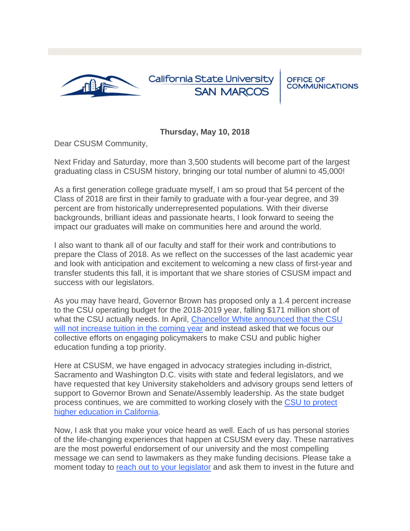

## California State University **SAN MARCOS**

**OFFICE OF COMMUNICATIONS** 

## **Thursday, May 10, 2018**

Dear CSUSM Community,

Next Friday and Saturday, more than 3,500 students will become part of the largest graduating class in CSUSM history, bringing our total number of alumni to 45,000!

As a first generation college graduate myself, I am so proud that 54 percent of the Class of 2018 are first in their family to graduate with a four-year degree, and 39 percent are from historically underrepresented populations. With their diverse backgrounds, brilliant ideas and passionate hearts, I look forward to seeing the impact our graduates will make on communities here and around the world.

I also want to thank all of our faculty and staff for their work and contributions to prepare the Class of 2018. As we reflect on the successes of the last academic year and look with anticipation and excitement to welcoming a new class of first-year and transfer students this fall, it is important that we share stories of CSUSM impact and success with our legislators.

As you may have heard, Governor Brown has proposed only a 1.4 percent increase to the CSU operating budget for the 2018-2019 year, falling \$171 million short of what the CSU actually needs. In April, [Chancellor White announced that the CSU](https://t.e2ma.net/click/8y508je/smt6hv/s2xghy0)  [will not increase tuition in the coming year](https://t.e2ma.net/click/8y508je/smt6hv/s2xghy0) and instead asked that we focus our collective efforts on engaging policymakers to make CSU and public higher education funding a top priority.

Here at CSUSM, we have engaged in advocacy strategies including in-district, Sacramento and Washington D.C. visits with state and federal legislators, and we have requested that key University stakeholders and advisory groups send letters of support to Governor Brown and Senate/Assembly leadership. As the state budget process continues, we are committed to working closely with the CSU to protect [higher education in California.](https://t.e2ma.net/click/8y508je/smt6hv/8uyghy0)

Now, I ask that you make your voice heard as well. Each of us has personal stories of the life-changing experiences that happen at CSUSM every day. These narratives are the most powerful endorsement of our university and the most compelling message we can send to lawmakers as they make funding decisions. Please take a moment today to [reach out to your legislator](https://t.e2ma.net/click/8y508je/smt6hv/onzghy0) and ask them to invest in the future and